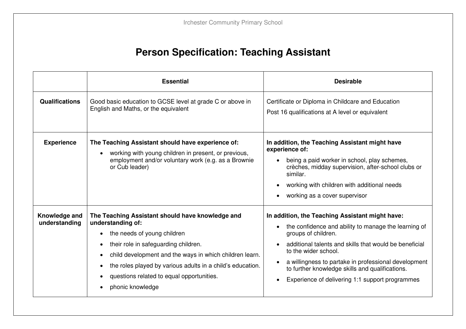## **Person Specification: Teaching Assistant**

|                                | <b>Essential</b>                                                                                                                                                                                                                                                                                                                                                              | <b>Desirable</b>                                                                                                                                                                                                                                                                                                                                                               |
|--------------------------------|-------------------------------------------------------------------------------------------------------------------------------------------------------------------------------------------------------------------------------------------------------------------------------------------------------------------------------------------------------------------------------|--------------------------------------------------------------------------------------------------------------------------------------------------------------------------------------------------------------------------------------------------------------------------------------------------------------------------------------------------------------------------------|
| <b>Qualifications</b>          | Good basic education to GCSE level at grade C or above in<br>English and Maths, or the equivalent                                                                                                                                                                                                                                                                             | Certificate or Diploma in Childcare and Education<br>Post 16 qualifications at A level or equivalent                                                                                                                                                                                                                                                                           |
| <b>Experience</b>              | The Teaching Assistant should have experience of:<br>working with young children in present, or previous,<br>employment and/or voluntary work (e.g. as a Brownie<br>or Cub leader)                                                                                                                                                                                            | In addition, the Teaching Assistant might have<br>experience of:<br>being a paid worker in school, play schemes,<br>crèches, midday supervision, after-school clubs or<br>similar.<br>working with children with additional needs<br>working as a cover supervisor                                                                                                             |
| Knowledge and<br>understanding | The Teaching Assistant should have knowledge and<br>understanding of:<br>the needs of young children<br>$\bullet$<br>their role in safeguarding children.<br>$\bullet$<br>child development and the ways in which children learn.<br>$\bullet$<br>the roles played by various adults in a child's education.<br>questions related to equal opportunities.<br>phonic knowledge | In addition, the Teaching Assistant might have:<br>the confidence and ability to manage the learning of<br>groups of children.<br>additional talents and skills that would be beneficial<br>to the wider school.<br>a willingness to partake in professional development<br>to further knowledge skills and qualifications.<br>Experience of delivering 1:1 support programmes |